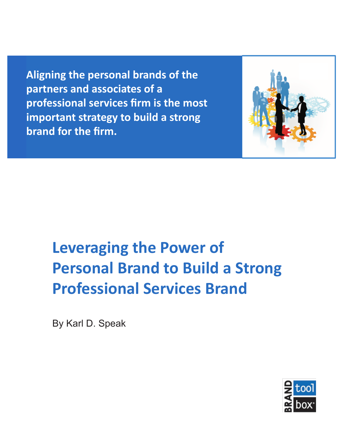**Aligning the personal brands of the partners and associates of a professional services firm is the most important strategy to build a strong brand for the firm.**



# **Leveraging the Power of Personal Brand to Build a Strong Professional Services Brand**

By Karl D. Speak

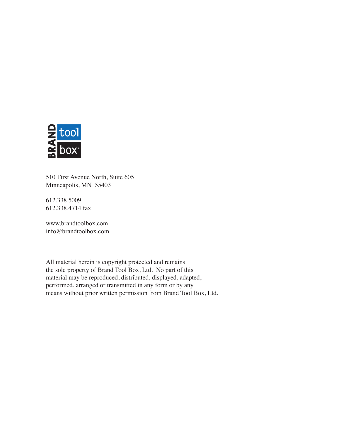

510 First Avenue North, Suite 605 Minneapolis, MN 55403

612.338.5009 612.338.4714 fax

www.brandtoolbox.com info@brandtoolbox.com

All material herein is copyright protected and remains the sole property of Brand Tool Box, Ltd. No part of this material may be reproduced, distributed, displayed, adapted, performed, arranged or transmitted in any form or by any means without prior written permission from Brand Tool Box, Ltd.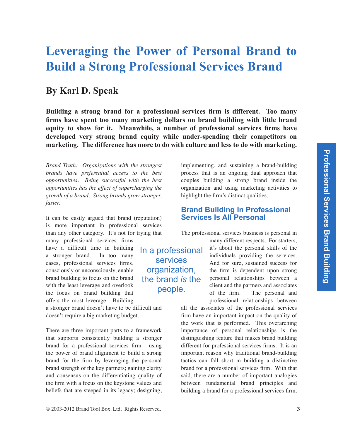## **Leveraging the Power of Personal Brand to Build a Strong Professional Services Brand**

### **By Karl D. Speak**

**Building a strong brand for a professional services firm is different. Too many firms have spent too many marketing dollars on brand building with little brand equity to show for it. Meanwhile, a number of professional services firms have developed very strong brand equity while under-spending their competitors on marketing. The difference has more to do with culture and less to do with marketing.** 

*Brand Truth: Organizations with the strongest brands have preferential access to the best opportunities. Being successful with the best opportunities has the effect of supercharging the growth of a brand. Strong brands grow stronger, faster.*

It can be easily argued that brand (reputation) is more important in professional services than any other category. It's not for trying that

many professional services firms have a difficult time in building a stronger brand. In too many cases, professional services firms, consciously or unconsciously, enable brand building to focus on the brand with the least leverage and overlook the focus on brand building that offers the most leverage. Building

a stronger brand doesn't have to be difficult and doesn't require a big marketing budget.

There are three important parts to a framework that supports consistently building a stronger brand for a professional services firm: using the power of brand alignment to build a strong brand for the firm by leveraging the personal brand strength of the key partners; gaining clarity and consensus on the differentiating quality of the firm with a focus on the keystone values and beliefs that are steeped in its legacy; designing, implementing, and sustaining a brand-building process that is an ongoing dual approach that couples building a strong brand inside the organization and using marketing activities to highlight the firm's distinct qualities.

#### **Brand Building In Professional Services Is All Personal**

The professional services business is personal in

In a professional services organization, the brand *is* the people.

many different respects. For starters, it's about the personal skills of the individuals providing the services. And for sure, sustained success for the firm is dependent upon strong personal relationships between a client and the partners and associates of the firm. The personal and professional relationships between

all the associates of the professional services firm have an important impact on the quality of the work that is performed. This overarching importance of personal relationships is the distinguishing feature that makes brand building different for professional services firms. It is an important reason why traditional brand-building tactics can fall short in building a distinctive brand for a professional services firm. With that said, there are a number of important analogies between fundamental brand principles and building a brand for a professional services firm.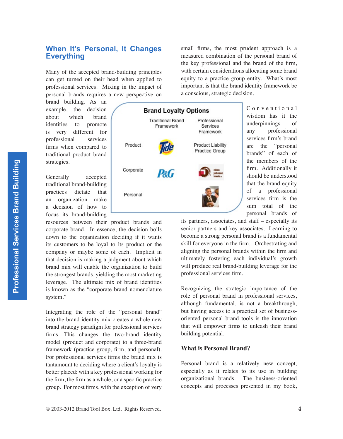#### **When It's Personal, It Changes Everything**

Many of the accepted brand-building principles can get turned on their head when applied to professional services. Mixing in the impact of personal brands requires a new perspective on

brand building. As an example, the decision about which brand identities to promote is very different for professional services firms when compared to traditional product brand strategies.

Generally accepted traditional brand-building practices dictate that an organization make a decision of how to focus its brand-building

resources between their product brands and corporate brand. In essence, the decision boils down to the organization deciding if it wants its customers to be loyal to its product or the company or maybe some of each. Implicit in that decision is making a judgment about which brand mix will enable the organization to build the strongest brands, yielding the most marketing leverage. The ultimate mix of brand identities is known as the "corporate brand nomenclature system."

Integrating the role of the "personal brand" into the brand identity mix creates a whole new brand strategy paradigm for professional services firms. This changes the two-brand identity model (product and corporate) to a three-brand framework (practice group, firm, and personal). For professional services firms the brand mix is tantamount to deciding where a client's loyalty is better placed: with a key professional working for the firm, the firm as a whole, or a specific practice group. For most firms, with the exception of very



small firms, the most prudent approach is a measured combination of the personal brand of the key professional and the brand of the firm, with certain considerations allocating some brand equity to a practice group entity. What's most important is that the brand identity framework be a conscious, strategic decision.

> C o n y e n t i o n a l wisdom has it the underpinnings of any professional services firm's brand are the "personal brands" of each of the members of the firm. Additionally it should be understood that the brand equity of a professional services firm is the sum total of the personal brands of

its partners, associates, and staff – especially its senior partners and key associates. Learning to become a strong personal brand is a fundamental skill for everyone in the firm. Orchestrating and aligning the personal brands within the firm and ultimately fostering each individual's growth will produce real brand-building leverage for the professional services firm.

Recognizing the strategic importance of the role of personal brand in professional services, although fundamental, is not a breakthrough, but having access to a practical set of businessoriented personal brand tools is the innovation that will empower firms to unleash their brand building potential.

#### **What is Personal Brand?**

Personal brand is a relatively new concept, especially as it relates to its use in building organizational brands. The business-oriented concepts and processes presented in my book,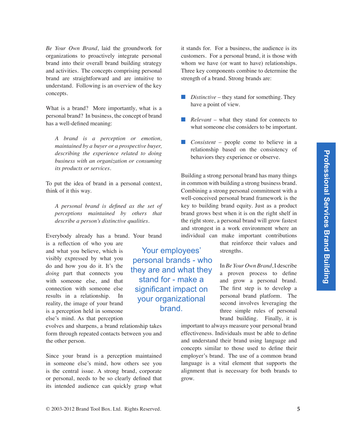*Be Your Own Brand*, laid the groundwork for organizations to proactively integrate personal brand into their overall brand building strategy and activities. The concepts comprising personal brand are straightforward and are intuitive to understand. Following is an overview of the key concepts.

What is a brand? More importantly, what is a personal brand? In business, the concept of brand has a well-defined meaning:

*A brand is a perception or emotion, maintained by a buyer or a prospective buyer, describing the experience related to doing business with an organization or consuming its products or services.*

To put the idea of brand in a personal context, think of it this way.

*A personal brand is defined as the set of perceptions maintained by others that describe a person's distinctive qualities.*

Everybody already has a brand. Your brand

is a reflection of who you are and what you believe, which is visibly expressed by what you do and how you do it. It's the *doing* part that connects you with someone else, and that connection with someone else results in a relationship. In reality, the image of your brand is a perception held in someone else's mind. As that perception

evolves and sharpens, a brand relationship takes form through repeated contacts between you and the other person.

Since your brand is a perception maintained in someone else's mind, how others see you is the central issue. A strong brand, corporate or personal, needs to be so clearly defined that its intended audience can quickly grasp what

Your employees' personal brands - who they are and what they stand for - make a significant impact on your organizational brand.

it stands for. For a business, the audience is its customers. For a personal brand, it is those with whom we have (or want to have) relationships. Three key components combine to determine the strength of a brand. Strong brands are:

- *Distinctive* they stand for something. They have a point of view.
- *Relevant* what they stand for connects to what someone else considers to be important.
- *Consistent* people come to believe in a relationship based on the consistency of behaviors they experience or observe.

Building a strong personal brand has many things in common with building a strong business brand. Combining a strong personal commitment with a well-conceived personal brand framework is the key to building brand equity. Just as a product brand grows best when it is on the right shelf in the right store, a personal brand will grow fastest and strongest in a work environment where an individual can make important contributions

> that reinforce their values and strengths.

In *Be Your Own Brand*, I describe a proven process to define and grow a personal brand. The first step is to develop a personal brand platform. The second involves leveraging the three simple rules of personal brand building. Finally, it is

important to always measure your personal brand effectiveness. Individuals must be able to define and understand their brand using language and concepts similar to those used to define their employer's brand. The use of a common brand language is a vital element that supports the alignment that is necessary for both brands to grow.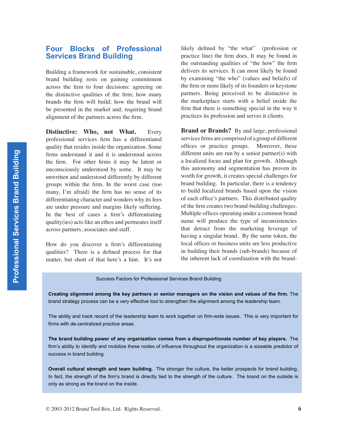#### **Four Blocks of Professional Services Brand Building**

Building a framework for sustainable, consistent brand building rests on gaining commitment across the firm to four decisions: agreeing on the distinctive qualities of the firm; how many brands the firm will build; how the brand will be presented in the market and; requiring brand alignment of the partners across the firm.

**Distinctive: Who, not What.** Every professional services firm has a differentiated quality that resides inside the organization. Some firms understand it and it is understood across the firm. For other firms it may be latent or unconsciously understood by some. It may be unwritten and understood differently by different groups within the firm. In the worst case (too many, I'm afraid) the firm has no sense of its differentiating character and wonders why its fees are under pressure and margins likely suffering. In the best of cases a firm's differentiating quality(ies) acts like an ethos and permeates itself across partners, associates and staff.

How do you discover a firm's differentiating qualities? There is a defined process for that matter, but short of that here's a hint. It's not

likely defined by "the what" (profession or practice line) the firm does. It may be found in the outstanding qualities of "the how" the firm delivers its services. It can most likely be found by examining "the who" (values and beliefs) of the firm or more likely of its founders or keystone partners. Being perceived to be distinctive in the marketplace starts with a belief inside the firm that there is something special in the way it practices its profession and serves it clients.

**Brand or Brands?** By and large, professional services firms are comprised of a group of different offices or practice groups. Moreover, these different units are run by a senior partner(s) with a localized focus and plan for growth. Although this autonomy and segmentation has proven its worth for growth, it creates special challenges for brand building. In particular, there is a tendency to build localized brands based upon the vision of each office's partners. This distributed quality of the firm creates two brand-building challenges. Multiple offices operating under a common brand name will produce the type of inconsistencies that detract from the marketing leverage of having a singular brand. By the same token, the local offices or business units are less productive in building their brands (sub-brands) because of the inherent lack of coordination with the brand-

Success Factors for Professional Services Brand Building

**Creating alignment among the key partners or senior managers on the vision and values of the firm.** The brand strategy process can be a very effective tool to strengthen the alignment among the leadership team.

The ability and track record of the leadership team to work together on firm-wide issues. This is very important for firms with de-centralized practice areas.

**The brand building power of any organization comes from a disproportionate number of key players.** The firm's ability to identify and mobilize these nodes of influence throughout the organization is a sizeable predictor of success in brand building.

**Overall cultural strength and team building.** The stronger the culture, the better prospects for brand building. In fact, the strength of the firm's brand is directly tied to the strength of the culture. The brand on the outside is only as strong as the brand on the inside.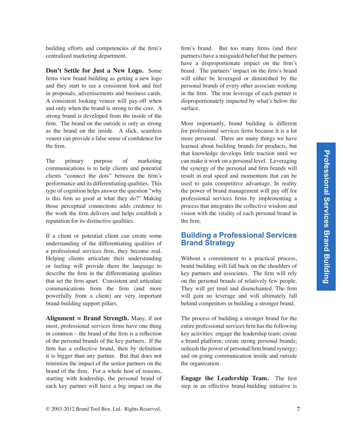building efforts and competencies of the firm's centralized marketing department.

**Don't Settle for Just a New Logo.** Some firms view brand building as getting a new logo and they start to see a consistent look and feel in proposals, advertisements and business cards. A consistent looking veneer will pay-off when and only when the brand is strong to the core. A strong brand is developed from the inside of the firm. The brand on the outside is only as strong as the brand on the inside. A slick, seamless veneer can provide a false sense of confidence for the firm.

The primary purpose of marketing communications is to help clients and potential clients "connect the dots" between the firm's performance and its differentiating qualities. This type of cognition helps answer the question "why is this firm so good at what they do?" Making those perceptual connections adds credence to the work the firm delivers and helps establish a reputation for its distinctive qualities.

If a client or potential client can create some understanding of the differentiating qualities of a professional services firm, they become real. Helping clients articulate their understanding or feeling will provide them the language to describe the firm in the differentiating qualities that set the firm apart. Consistent and articulate communications from the firm (and more powerfully from a client) are very important brand-building support pillars.

**Alignment = Brand Strength.** Many, if not most, professional services firms have one thing in common – the brand of the firm is a reflection of the personal brands of the key partners. If the firm has a collective brand, then by definition it is bigger than any partner. But that does not minimize the impact of the senior partners on the brand of the firm. For a whole host of reasons, starting with leadership, the personal brand of each key partner will have a big impact on the

firm's brand. But too many firms (and their partners) have a misguided belief that the partners have a disproportionate impact on the firm's brand. The partners' impact on the firm's brand will either be leveraged or diminished by the personal brands of every other associate working in the firm. The true leverage of each partner is disproportionately impacted by what's below the surface.

Most importantly, brand building is different for professional services firms because it is a lot more personal. There are many things we have learned about building brands for products, but that knowledge develops little traction until we can make it work on a personal level. Leveraging the synergy of the personal and firm brands will result in real speed and momentum that can be used to gain competitive advantage. In reality the power of brand management will pay off for professional services firms by implementing a process that integrates the collective wisdom and vision with the vitality of each personal brand in the firm.

#### **Building a Professional Services Brand Strategy**

Without a commitment to a practical process, brand building will fall back on the shoulders of key partners and associates. The firm will rely on the personal brands of relatively few people. They will get tired and disenchanted. The firm will gain no leverage and will ultimately fall behind competitors in building a stronger brand.

The process of building a stronger brand for the entire professional services firm has the following key activities: engage the leadership team; create a brand platform; create strong personal brands; unleash the power of personal/firm brand synergy; and on-going communication inside and outside the organization.

**Engage the Leadership Team.** The first step in an effective brand-building initiative is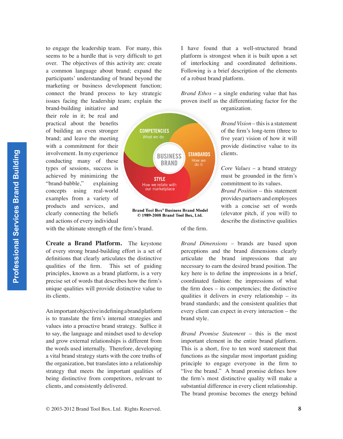to engage the leadership team. For many, this seems to be a hurdle that is very difficult to get over. The objectives of this activity are: create a common language about brand; expand the participants' understanding of brand beyond the marketing or business development function; connect the brand process to key strategic issues facing the leadership team; explain the

brand-building initiative and their role in it; be real and practical about the benefits of building an even stronger brand; and leave the meeting with a commitment for their involvement. In my experience conducting many of these types of sessions, success is achieved by minimizing the "brand-babble," explaining concepts using real-world examples from a variety of products and services, and clearly connecting the beliefs and actions of every individual



© 1989-2008 Brand Tool Box, Ltd.

with the ultimate strength of the firm's brand.

**Create a Brand Platform.** The keystone of every strong brand-building effort is a set of definitions that clearly articulates the distinctive qualities of the firm. This set of guiding principles, known as a brand platform, is a very precise set of words that describes how the firm's unique qualities will provide distinctive value to its clients.

An important objective in defining a brand platform is to translate the firm's internal strategies and values into a proactive brand strategy. Suffice it to say, the language and mindset used to develop and grow external relationships is different from the words used internally. Therefore, developing a vital brand strategy starts with the core truths of the organization, but translates into a relationship strategy that meets the important qualities of being distinctive from competitors, relevant to clients, and consistently delivered.

I have found that a well-structured brand platform is strongest when it is built upon a set of interlocking and coordinated definitions. Following is a brief description of the elements of a robust brand platform.

*Brand Ethos* – a single enduring value that has proven itself as the differentiating factor for the organization.

> *Brand Vision* – this is a statement of the firm's long-term (three to five year) vision of how it will provide distinctive value to its clients.

> *Core Values* – a brand strategy must be grounded in the firm's commitment to its values.

> *Brand Position* – this statement provides partners and employees with a concise set of words (elevator pitch, if you will) to describe the distinctive qualities

of the firm.

*Brand Dimensions* – brands are based upon perceptions and the brand dimensions clearly articulate the brand impressions that are necessary to earn the desired brand position. The key here is to define the impressions in a brief, coordinated fashion: the impressions of what the firm does – its competencies; the distinctive qualities it delivers in every relationship – its brand standards; and the consistent qualities that every client can expect in every interaction – the brand style.

*Brand Promise Statement* – this is the most important element in the entire brand platform. This is a short, five to ten word statement that functions as the singular most important guiding principle to engage everyone in the firm to "live the brand." A brand promise defines how the firm's most distinctive quality will make a substantial difference in every client relationship. The brand promise becomes the energy behind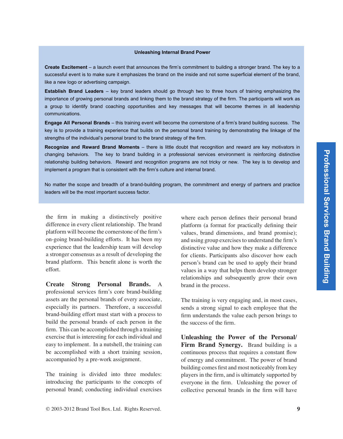#### **Unleashing Internal Brand Power**

**Create Excitement** – a launch event that announces the firm's commitment to building a stronger brand. The key to a successful event is to make sure it emphasizes the brand on the inside and not some superficial element of the brand, like a new logo or advertising campaign.

**Establish Brand Leaders** – key brand leaders should go through two to three hours of training emphasizing the importance of growing personal brands and linking them to the brand strategy of the firm. The participants will work as a group to identify brand coaching opportunities and key messages that will become themes in all leadership communications.

**Engage All Personal Brands** – this training event will become the cornerstone of a firm's brand building success. The key is to provide a training experience that builds on the personal brand training by demonstrating the linkage of the strengths of the individual's personal brand to the brand strategy of the firm.

**Recognize and Reward Brand Moments** – there is little doubt that recognition and reward are key motivators in changing behaviors. The key to brand building in a professional services environment is reinforcing distinctive relationship building behaviors. Reward and recognition programs are not tricky or new. The key is to develop and implement a program that is consistent with the firm's culture and internal brand.

No matter the scope and breadth of a brand-building program, the commitment and energy of partners and practice leaders will be the most important success factor.

the firm in making a distinctively positive difference in every client relationship. The brand platform will become the cornerstone of the firm's on-going brand-building efforts. It has been my experience that the leadership team will develop a stronger consensus as a result of developing the brand platform. This benefit alone is worth the effort.

**Create Strong Personal Brands.** A professional services firm's core brand-building assets are the personal brands of every associate, especially its partners. Therefore, a successful brand-building effort must start with a process to build the personal brands of each person in the firm. This can be accomplished through a training exercise that is interesting for each individual and easy to implement. In a nutshell, the training can be accomplished with a short training session, accompanied by a pre-work assignment.

The training is divided into three modules: introducing the participants to the concepts of personal brand; conducting individual exercises

where each person defines their personal brand platform (a format for practically defining their values, brand dimensions, and brand promise); and using group exercises to understand the firm's distinctive value and how they make a difference for clients. Participants also discover how each person's brand can be used to apply their brand values in a way that helps them develop stronger relationships and subsequently grow their own brand in the process.

The training is very engaging and, in most cases, sends a strong signal to each employee that the firm understands the value each person brings to the success of the firm.

**Unleashing the Power of the Personal/ Firm Brand Synergy.** Brand building is a continuous process that requires a constant flow of energy and commitment. The power of brand building comes first and most noticeably from key players in the firm, and is ultimately supported by everyone in the firm. Unleashing the power of collective personal brands in the firm will have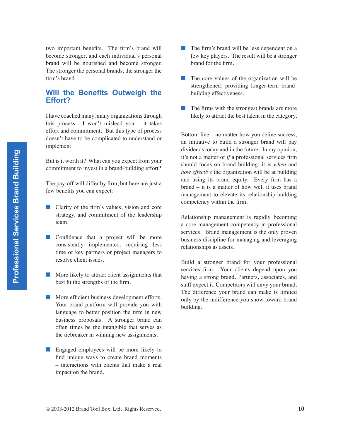two important benefits. The firm's brand will become stronger, and each individual's personal brand will be nourished and become stronger. The stronger the personal brands, the stronger the firm's brand.

#### **Will the Benefits Outweigh the Effort?**

I have coached many, many organizations through this process. I won't mislead you – it takes effort and commitment. But this type of process doesn't have to be complicated to understand or implement.

But is it worth it? What can you expect from your commitment to invest in a brand-building effort?

The pay-off will differ by firm, but here are just a few benefits you can expect:

- Clarity of the firm's values, vision and core strategy, and commitment of the leadership team.
- Confidence that a project will be more consistently implemented, requiring less time of key partners or project managers to resolve client issues.
- More likely to attract client assignments that best fit the strengths of the firm.
- More efficient business development efforts. Your brand platform will provide you with language to better position the firm in new business proposals. A stronger brand can often times be the intangible that serves as the tiebreaker in winning new assignments.
- Engaged employees will be more likely to find unique ways to create brand moments – interactions with clients that make a real impact on the brand.
- The firm's brand will be less dependent on a few key players. The result will be a stronger brand for the firm. ■
- The core values of the organization will be strengthened, providing longer-term brandbuilding effectiveness.
- The firms with the strongest brands are more likely to attract the best talent in the category.

Bottom line – no matter how you define success, an initiative to build a stronger brand will pay dividends today and in the future. In my opinion, it's not a matter of *if* a professional services firm should focus on brand building; it is *when* and *how effective* the organization will be at building and using its brand equity. Every firm has a brand – it is a matter of how well it uses brand management to elevate its relationship-building competency within the firm.

Relationship management is rapidly becoming a core management competency in professional services. Brand management is the only proven business discipline for managing and leveraging relationships as assets.

Build a stronger brand for your professional services firm. Your clients depend upon you having a strong brand. Partners, associates, and staff expect it. Competitors will envy your brand. The difference your brand can make is limited only by the indifference you show toward brand building.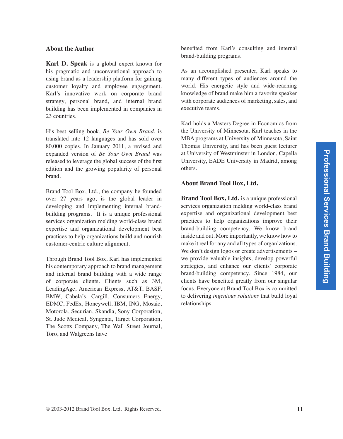#### **About the Author**

**Karl D. Speak** is a global expert known for his pragmatic and unconventional approach to using brand as a leadership platform for gaining customer loyalty and employee engagement. Karl's innovative work on corporate brand strategy, personal brand, and internal brand building has been implemented in companies in 23 countries.

His best selling book, *Be Your Own Brand*, is translated into 12 languages and has sold over 80,000 copies. In January 2011, a revised and expanded version of *Be Your Own Brand* was released to leverage the global success of the first edition and the growing popularity of personal brand.

Brand Tool Box, Ltd., the company he founded over 27 years ago, is the global leader in developing and implementing internal brandbuilding programs. It is a unique professional services organization melding world-class brand expertise and organizational development best practices to help organizations build and nourish customer-centric culture alignment.

Through Brand Tool Box, Karl has implemented his contemporary approach to brand management and internal brand building with a wide range of corporate clients. Clients such as 3M, LeadingAge, American Express, AT&T, BASF, BMW, Cabela's, Cargill, Consumers Energy, EDMC, FedEx, Honeywell, IBM, ING, Mosaic, Motorola, Securian, Skandia, Sony Corporation, St. Jude Medical, Syngenta, Target Corporation, The Scotts Company, The Wall Street Journal, Toro, and Walgreens have

benefited from Karl's consulting and internal brand-building programs.

As an accomplished presenter, Karl speaks to many different types of audiences around the world. His energetic style and wide-reaching knowledge of brand make him a favorite speaker with corporate audiences of marketing, sales, and executive teams.

Karl holds a Masters Degree in Economics from the University of Minnesota. Karl teaches in the MBA programs at University of Minnesota, Saint Thomas University, and has been guest lecturer at University of Westminster in London, Capella University, EADE University in Madrid, among others.

#### **About Brand Tool Box, Ltd.**

**Brand Tool Box, Ltd.** is a unique professional services organization melding world-class brand expertise and organizational development best practices to help organizations improve their brand-building competency. We know brand inside and out. More importantly, we know how to make it real for any and all types of organizations. We don't design logos or create advertisements – we provide valuable insights, develop powerful strategies, and enhance our clients' corporate brand-building competency. Since 1984, our clients have benefited greatly from our singular focus. Everyone at Brand Tool Box is committed to delivering *ingenious solutions* that build loyal relationships.